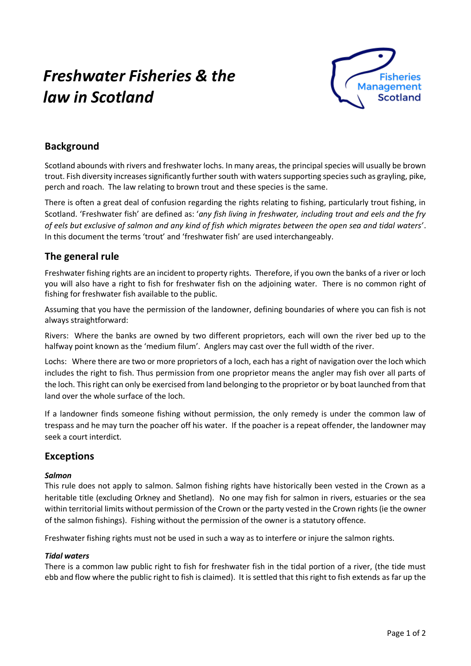# *Freshwater Fisheries & the law in Scotland*



## **Background**

Scotland abounds with rivers and freshwater lochs. In many areas, the principal species will usually be brown trout. Fish diversity increases significantly further south with waters supporting species such as grayling, pike, perch and roach. The law relating to brown trout and these species is the same.

There is often a great deal of confusion regarding the rights relating to fishing, particularly trout fishing, in Scotland. 'Freshwater fish' are defined as: '*any fish living in freshwater, including trout and eels and the fry of eels but exclusive of salmon and any kind of fish which migrates between the open sea and tidal waters'*. In this document the terms 'trout' and 'freshwater fish' are used interchangeably.

## **The general rule**

Freshwater fishing rights are an incident to property rights. Therefore, if you own the banks of a river or loch you will also have a right to fish for freshwater fish on the adjoining water. There is no common right of fishing for freshwater fish available to the public.

Assuming that you have the permission of the landowner, defining boundaries of where you can fish is not always straightforward:

Rivers: Where the banks are owned by two different proprietors, each will own the river bed up to the halfway point known as the 'medium filum'. Anglers may cast over the full width of the river.

Lochs: Where there are two or more proprietors of a loch, each has a right of navigation over the loch which includes the right to fish. Thus permission from one proprietor means the angler may fish over all parts of the loch. This right can only be exercised from land belonging to the proprietor or by boat launched from that land over the whole surface of the loch.

If a landowner finds someone fishing without permission, the only remedy is under the common law of trespass and he may turn the poacher off his water. If the poacher is a repeat offender, the landowner may seek a court interdict.

## **Exceptions**

#### *Salmon*

This rule does not apply to salmon. Salmon fishing rights have historically been vested in the Crown as a heritable title (excluding Orkney and Shetland). No one may fish for salmon in rivers, estuaries or the sea within territorial limits without permission of the Crown or the party vested in the Crown rights (ie the owner of the salmon fishings). Fishing without the permission of the owner is a statutory offence.

Freshwater fishing rights must not be used in such a way as to interfere or injure the salmon rights.

#### *Tidal waters*

There is a common law public right to fish for freshwater fish in the tidal portion of a river, (the tide must ebb and flow where the public right to fish is claimed). It is settled that this right to fish extends as far up the